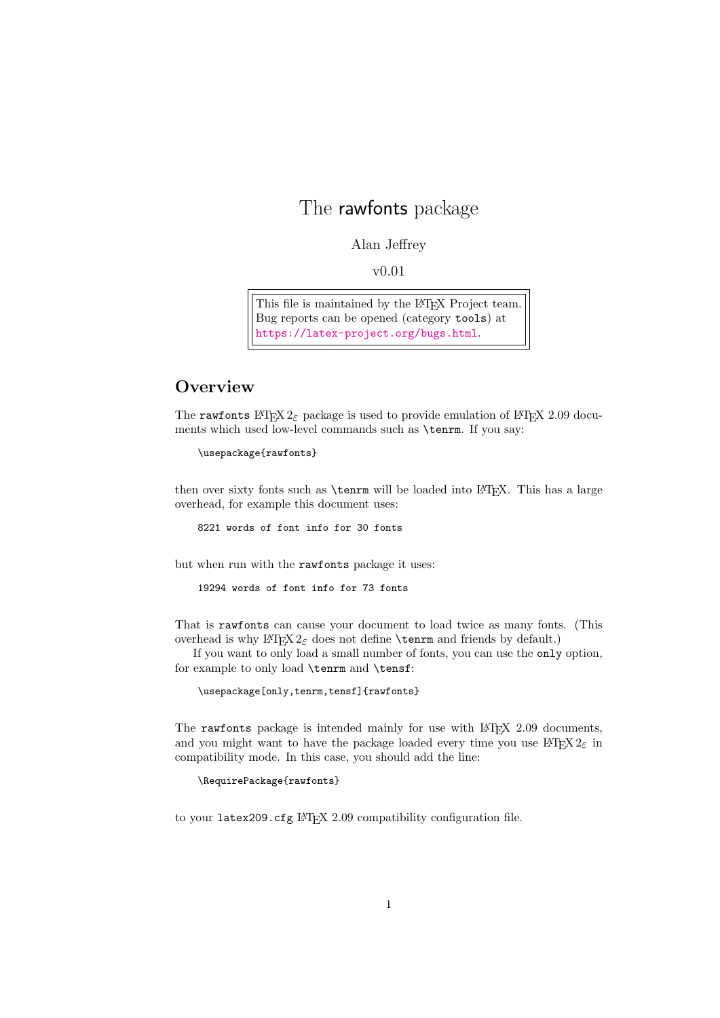# The rawfonts package

#### Alan Jeffrey

v0.01

This file is maintained by the LAT<sub>E</sub>X Project team. Bug reports can be opened (category tools) at <https://latex-project.org/bugs.html>.

### **Overview**

The rawfonts  $\text{LATEX } 2\varepsilon$  package is used to provide emulation of  $\text{LATEX } 2.09$  documents which used low-level commands such as \tenrm. If you say:

```
\usepackage{rawfonts}
```
then over sixty fonts such as  $\term$  will be loaded into LATEX. This has a large overhead, for example this document uses:

8221 words of font info for 30 fonts

but when run with the rawfonts package it uses:

19294 words of font info for 73 fonts

That is rawfonts can cause your document to load twice as many fonts. (This overhead is why  $\text{LTr} X 2_{\varepsilon}$  does not define **\tenrm** and friends by default.)

If you want to only load a small number of fonts, you can use the only option, for example to only load \tenrm and \tensf:

```
\usepackage[only,tenrm,tensf]{rawfonts}
```
The rawfonts package is intended mainly for use with  $EFT$  $Z$  2.09 documents, and you might want to have the package loaded every time you use  $\mathbb{I}\mathrm{F} \mathrm{F} \mathrm{X}\, 2_\varepsilon$  in compatibility mode. In this case, you should add the line:

\RequirePackage{rawfonts}

to your latex209.cfg LHFX 2.09 compatibility configuration file.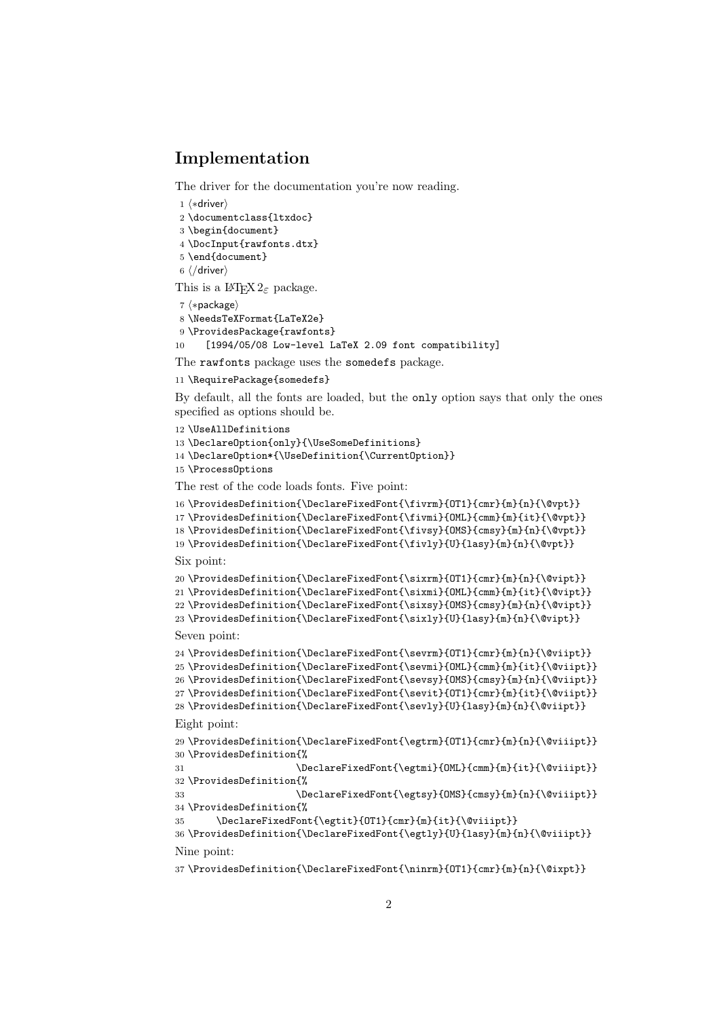## Implementation

The driver for the documentation you're now reading.

⟨∗driver⟩

\documentclass{ltxdoc}

- \begin{document}
- \DocInput{rawfonts.dtx}
- \end{document}

⟨/driver⟩

This is a  $L^{\text{ATF}}\text{X} 2_{\epsilon}$  package.

```
7 ⟨∗package⟩
```

```
8 \NeedsTeXFormat{LaTeX2e}
```

```
9 \ProvidesPackage{rawfonts}
```

```
10 [1994/05/08 Low-level LaTeX 2.09 font compatibility]
```
The rawfonts package uses the somedefs package.

```
11 \RequirePackage{somedefs}
```
By default, all the fonts are loaded, but the only option says that only the ones specified as options should be.

```
12 \UseAllDefinitions
13 \DeclareOption{only}{\UseSomeDefinitions}
14 \DeclareOption*{\UseDefinition{\CurrentOption}}
15 \ProcessOptions
```
The rest of the code loads fonts. Five point:

```
16 \ProvidesDefinition{\DeclareFixedFont{\fivrm}{OT1}{cmr}{m}{n}{\@vpt}}
17 \ProvidesDefinition{\DeclareFixedFont{\fivmi}{OML}{cmm}{m}{it}{\@vpt}}
18 \ProvidesDefinition{\DeclareFixedFont{\fivsy}{OMS}{cmsy}{m}{n}{\@vpt}}
19 \ProvidesDefinition{\DeclareFixedFont{\fivly}{U}{lasy}{m}{n}{\@vpt}}
Six point:
20 \ProvidesDefinition{\DeclareFixedFont{\sixrm}{OT1}{cmr}{m}{n}{\@vipt}}
21 \ProvidesDefinition{\DeclareFixedFont{\sixmi}{OML}{cmm}{m}{it}{\@vipt}}
22 \ProvidesDefinition{\DeclareFixedFont{\sixsy}{OMS}{cmsy}{m}{n}{\@vipt}}
23\ProvidesDefinition{\DeclareFixedFont{\sixly}{U}{lasy}{m}{n}{\@vipt}}
Seven point:
24 \ProvidesDefinition{\DeclareFixedFont{\sevrm}{OT1}{cmr}{m}{n}{\@viipt}}
25 \ProvidesDefinition{\DeclareFixedFont{\sevmi}{OML}{cmm}{m}{it}{\@viipt}}
26 \ProvidesDefinition{\DeclareFixedFont{\sevsy}{OMS}{cmsy}{m}{n}{\@viipt}}
27\ProvidesDefinition{\DeclareFixedFont{\sevit}{OT1}{cmr}{m}{it}{\@viipt}}
28\ProvidesDefinition{\DeclareFixedFont{\sevly}{U}{lasy}{m}{n}{\@viipt}}
Eight point:
29 \ProvidesDefinition{\DeclareFixedFont{\egtrm}{OT1}{cmr}{m}{n}{\@viiipt}}
30 \ProvidesDefinition{%
31 \DeclareFixedFont{\egtmi}{OML}{cmm}{m}{it}{\@viiipt}}
32 \ProvidesDefinition{%
33 \DeclareFixedFont{\egtsy}{OMS}{cmsy}{m}{n}{\@viiipt}}
34 \ProvidesDefinition{%
35 \DeclareFixedFont{\egtit}{OT1}{cmr}{m}{it}{\@viiipt}}
```

```
36 \ProvidesDefinition{\DeclareFixedFont{\egtly}{U}{lasy}{m}{n}{\@viiipt}}
Nine point:
```
\ProvidesDefinition{\DeclareFixedFont{\ninrm}{OT1}{cmr}{m}{n}{\@ixpt}}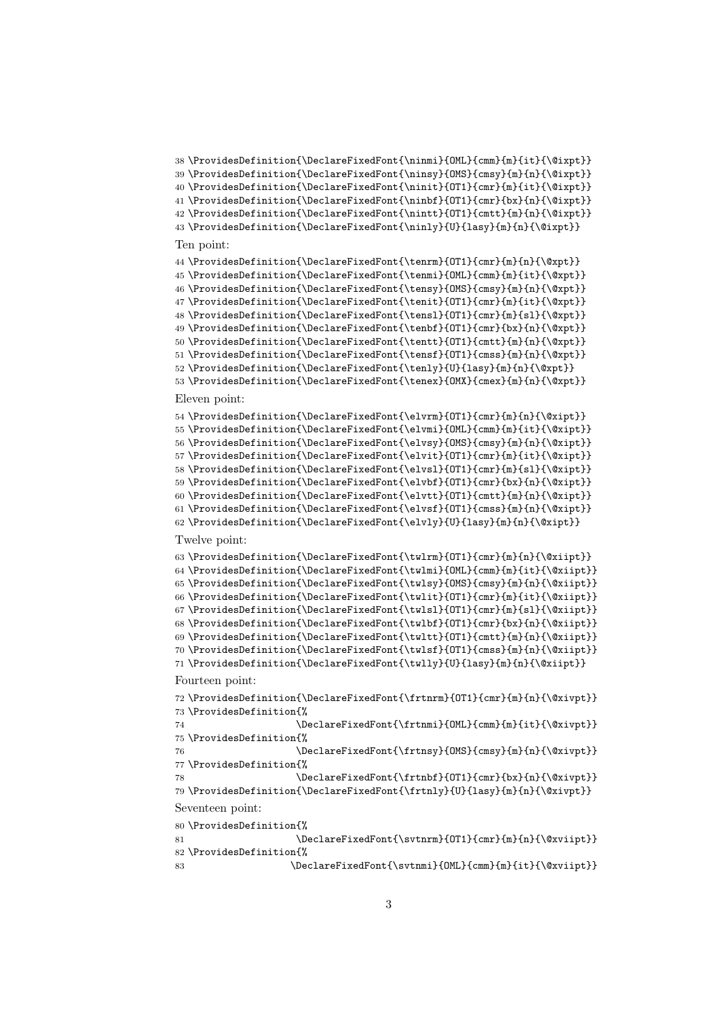```
38 \ProvidesDefinition{\DeclareFixedFont{\ninmi}{OML}{cmm}{m}{it}{\@ixpt}}
39 \ProvidesDefinition{\DeclareFixedFont{\ninsy}{OMS}{cmsy}{m}{n}{\@ixpt}}
40 \ProvidesDefinition{\DeclareFixedFont{\ninit}{OT1}{cmr}{m}{it}{\@ixpt}}
41 \ProvidesDefinition{\DeclareFixedFont{\ninbf}{OT1}{cmr}{bx}{n}{\@ixpt}}
42 \ProvidesDefinition{\DeclareFixedFont{\nintt}{OT1}{cmtt}{m}{n}{\@ixpt}}
43 \ProvidesDefinition{\DeclareFixedFont{\ninly}{U}{lasy}{m}{n}{\@ixpt}}
```
#### Ten point:

```
44 \ProvidesDefinition{\DeclareFixedFont{\tenrm}{OT1}{cmr}{m}{n}{\@xpt}}
45 \ProvidesDefinition{\DeclareFixedFont{\tenmi}{OML}{cmm}{m}{it}{\@xpt}}
46 \ProvidesDefinition{\DeclareFixedFont{\tensy}{OMS}{cmsy}{m}{n}{\@xpt}}
47 \ProvidesDefinition{\DeclareFixedFont{\tenit}{OT1}{cmr}{m}{it}{\@xpt}}
48 \ProvidesDefinition{\DeclareFixedFont{\tensl}{OT1}{cmr}{m}{sl}{\@xpt}}
49 \ProvidesDefinition{\DeclareFixedFont{\tenbf}{OT1}{cmr}{bx}{n}{\@xpt}}
50 \ProvidesDefinition{\DeclareFixedFont{\tentt}{OT1}{cmtt}{m}{n}{\@xpt}}
51 \ProvidesDefinition{\DeclareFixedFont{\tensf}{OT1}{cmss}{m}{n}{\@xpt}}
52 \ProvidesDefinition{\DeclareFixedFont{\tenly}{U}{lasy}{m}{n}{\@xpt}}
53 \ProvidesDefinition{\DeclareFixedFont{\tenex}{OMX}{cmex}{m}{n}{\@xpt}}
Eleven point:
54 \ProvidesDefinition{\DeclareFixedFont{\elvrm}{OT1}{cmr}{m}{n}{\@xipt}}
55 \ProvidesDefinition{\DeclareFixedFont{\elvmi}{OML}{cmm}{m}{it}{\@xipt}}
56 \ProvidesDefinition{\DeclareFixedFont{\elvsy}{OMS}{cmsy}{m}{n}{\@xipt}}
57 \verb+\ProvidesDefinition{\DeclarefixedFont{\elvit}{OT1}{cm}{m}{it}{\@xipt}58\ProvidesDefinition{\DeclareFixedFont{\elvsl}{OT1}{cmr}{m}{sl}{\@xipt}}
59 \ProvidesDefinition{\DeclareFixedFont{\elvbf}{OT1}{cmr}{bx}{n}{\@xipt}}
60 \ProvidesDefinition{\DeclareFixedFont{\elvtt}{OT1}{cmtt}{m}{n}{\@xipt}}
61 \ProvidesDefinition{\DeclareFixedFont{\elvsf}{OT1}{cmss}{m}{n}{\@xipt}}
62 \ProvidesDefinition{\DeclareFixedFont{\elvly}{U}{lasy}{m}{n}{\@xipt}}
Twelve point:
63 \ProvidesDefinition{\DeclareFixedFont{\twlrm}{OT1}{cmr}{m}{n}{\@xiipt}}
64 \ProvidesDefinition{\DeclareFixedFont{\twlmi}{OML}{cmm}{m}{it}{\@xiipt}}
65 \ProvidesDefinition{\DeclareFixedFont{\twlsy}{OMS}{cmsy}{m}{n}{\@xiipt}}
66 \ProvidesDefinition{\DeclareFixedFont{\twlit}{OT1}{cmr}{m}{it}{\@xiipt}}
67 \ProvidesDefinition{\DeclareFixedFont{\twlsl}{OT1}{cmr}{m}{sl}{\@xiipt}}
68 \ProvidesDefinition{\DeclareFixedFont{\twlbf}{OT1}{cmr}{bx}{n}{\@xiipt}}
69 \ProvidesDefinition{\DeclareFixedFont{\twltt}{OT1}{cmtt}{m}{n}{\@xiipt}}
70 \ProvidesDefinition{\DeclareFixedFont{\twlsf}{OT1}{cmss}{m}{n}{\@xiipt}}
71 \ProvidesDefinition{\DeclareFixedFont{\twlly}{U}{lasy}{m}{n}{\@xiipt}}
Fourteen point:
72 \ProvidesDefinition{\DeclareFixedFont{\frtnrm}{OT1}{cmr}{m}{n}{\@xivpt}}
73 \ProvidesDefinition{%
74 \DeclareFixedFont{\frtnmi}{OML}{cmm}{m}{it}{\@xivpt}}
75 \ProvidesDefinition{%
76 \DeclareFixedFont{\frtnsy}{OMS}{cmsy}{m}{n}{\@xivpt}}
77 \ProvidesDefinition{%
78 \DeclareFixedFont{\frtnbf}{OT1}{cmr}{bx}{n}{\@xivpt}}
79 \ProvidesDefinition{\DeclareFixedFont{\frtnly}{U}{lasy}{m}{n}{\@xivpt}}
Seventeen point:
80 \ProvidesDefinition{%
81 \DeclareFixedFont{\svtnrm}{OT1}{cmr}{m}{n}{\@xviipt}}
82 \ProvidesDefinition{%
83 \DeclareFixedFont{\svtnmi}{OML}{cmm}{m}{it}{\@xviipt}}
```